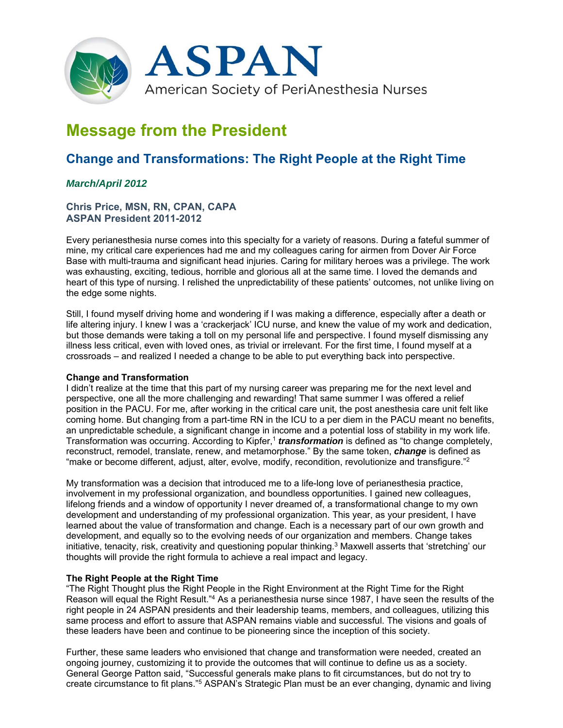

# **Message from the President**

# **Change and Transformations: The Right People at the Right Time**

# *March/April 2012*

## **Chris Price, MSN, RN, CPAN, CAPA ASPAN President 2011-2012**

Every perianesthesia nurse comes into this specialty for a variety of reasons. During a fateful summer of mine, my critical care experiences had me and my colleagues caring for airmen from Dover Air Force Base with multi-trauma and significant head injuries. Caring for military heroes was a privilege. The work was exhausting, exciting, tedious, horrible and glorious all at the same time. I loved the demands and heart of this type of nursing. I relished the unpredictability of these patients' outcomes, not unlike living on the edge some nights.

Still, I found myself driving home and wondering if I was making a difference, especially after a death or life altering injury. I knew I was a 'crackerjack' ICU nurse, and knew the value of my work and dedication, but those demands were taking a toll on my personal life and perspective. I found myself dismissing any illness less critical, even with loved ones, as trivial or irrelevant. For the first time, I found myself at a crossroads – and realized I needed a change to be able to put everything back into perspective.

## **Change and Transformation**

I didn't realize at the time that this part of my nursing career was preparing me for the next level and perspective, one all the more challenging and rewarding! That same summer I was offered a relief position in the PACU. For me, after working in the critical care unit, the post anesthesia care unit felt like coming home. But changing from a part-time RN in the ICU to a per diem in the PACU meant no benefits, an unpredictable schedule, a significant change in income and a potential loss of stability in my work life. Transformation was occurring. According to Kipfer,<sup>1</sup> *transformation* is defined as "to change completely, reconstruct, remodel, translate, renew, and metamorphose." By the same token, *change* is defined as "make or become different, adjust, alter, evolve, modify, recondition, revolutionize and transfigure."<sup>2</sup>

My transformation was a decision that introduced me to a life-long love of perianesthesia practice, involvement in my professional organization, and boundless opportunities. I gained new colleagues, lifelong friends and a window of opportunity I never dreamed of, a transformational change to my own development and understanding of my professional organization. This year, as your president, I have learned about the value of transformation and change. Each is a necessary part of our own growth and development, and equally so to the evolving needs of our organization and members. Change takes initiative, tenacity, risk, creativity and questioning popular thinking.<sup>3</sup> Maxwell asserts that 'stretching' our thoughts will provide the right formula to achieve a real impact and legacy.

## **The Right People at the Right Time**

"The Right Thought plus the Right People in the Right Environment at the Right Time for the Right Reason will equal the Right Result."4 As a perianesthesia nurse since 1987, I have seen the results of the right people in 24 ASPAN presidents and their leadership teams, members, and colleagues, utilizing this same process and effort to assure that ASPAN remains viable and successful. The visions and goals of these leaders have been and continue to be pioneering since the inception of this society.

Further, these same leaders who envisioned that change and transformation were needed, created an ongoing journey, customizing it to provide the outcomes that will continue to define us as a society. General George Patton said, "Successful generals make plans to fit circumstances, but do not try to create circumstance to fit plans."5 ASPAN's Strategic Plan must be an ever changing, dynamic and living